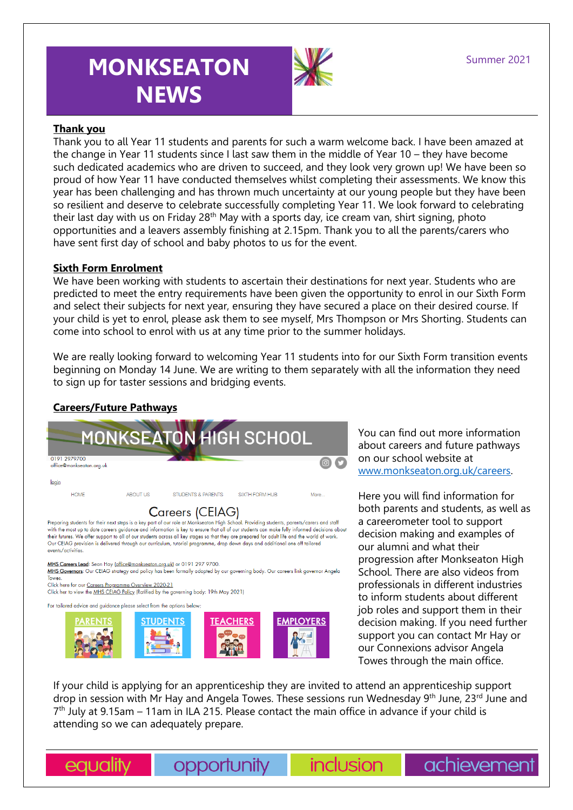# **MONKSEATON NEWS**



## **Thank you**

Thank you to all Year 11 students and parents for such a warm welcome back. I have been amazed at the change in Year 11 students since I last saw them in the middle of Year 10 – they have become such dedicated academics who are driven to succeed, and they look very grown up! We have been so proud of how Year 11 have conducted themselves whilst completing their assessments. We know this year has been challenging and has thrown much uncertainty at our young people but they have been so resilient and deserve to celebrate successfully completing Year 11. We look forward to celebrating their last day with us on Friday 28<sup>th</sup> May with a sports day, ice cream van, shirt signing, photo opportunities and a leavers assembly finishing at 2.15pm. Thank you to all the parents/carers who have sent first day of school and baby photos to us for the event.

## **Sixth Form Enrolment**

We have been working with students to ascertain their destinations for next year. Students who are predicted to meet the entry requirements have been given the opportunity to enrol in our Sixth Form and select their subjects for next year, ensuring they have secured a place on their desired course. If your child is yet to enrol, please ask them to see myself, Mrs Thompson or Mrs Shorting. Students can come into school to enrol with us at any time prior to the summer holidays.

We are really looking forward to welcoming Year 11 students into for our Sixth Form transition events beginning on Monday 14 June. We are writing to them separately with all the information they need to sign up for taster sessions and bridging events.

# **Careers/Future Pathways**



#### For tailored advice and guidance please select from the options below



You can find out more information about careers and future pathways on our school website at [www.monkseaton.org.uk/careers.](http://www.monkseaton.org.uk/careers)

Here you will find information for both parents and students, as well as a careerometer tool to support decision making and examples of our alumni and what their progression after Monkseaton High School. There are also videos from professionals in different industries to inform students about different job roles and support them in their decision making. If you need further support you can contact Mr Hay or our Connexions advisor Angela Towes through the main office.

achievement

If your child is applying for an apprenticeship they are invited to attend an apprenticeship support drop in session with Mr Hay and Angela Towes. These sessions run Wednesday 9<sup>th</sup> June, 23<sup>rd</sup> June and 7 th July at 9.15am – 11am in ILA 215. Please contact the main office in advance if your child is attending so we can adequately prepare.

equality

opportunity

inclusion